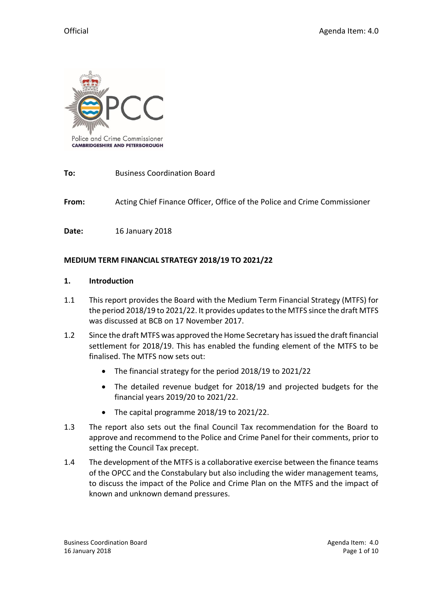

**To:** Business Coordination Board

**From:** Acting Chief Finance Officer, Office of the Police and Crime Commissioner

**Date:** 16 January 2018

### **MEDIUM TERM FINANCIAL STRATEGY 2018/19 TO 2021/22**

#### **1. Introduction**

- 1.1 This report provides the Board with the Medium Term Financial Strategy (MTFS) for the period 2018/19 to 2021/22. It provides updates to the MTFS since the draft MTFS was discussed at BCB on 17 November 2017.
- 1.2 Since the draft MTFS was approved the Home Secretary has issued the draft financial settlement for 2018/19. This has enabled the funding element of the MTFS to be finalised. The MTFS now sets out:
	- The financial strategy for the period 2018/19 to 2021/22
	- The detailed revenue budget for 2018/19 and projected budgets for the financial years 2019/20 to 2021/22.
	- The capital programme 2018/19 to 2021/22.
- 1.3 The report also sets out the final Council Tax recommendation for the Board to approve and recommend to the Police and Crime Panel for their comments, prior to setting the Council Tax precept.
- 1.4 The development of the MTFS is a collaborative exercise between the finance teams of the OPCC and the Constabulary but also including the wider management teams, to discuss the impact of the Police and Crime Plan on the MTFS and the impact of known and unknown demand pressures.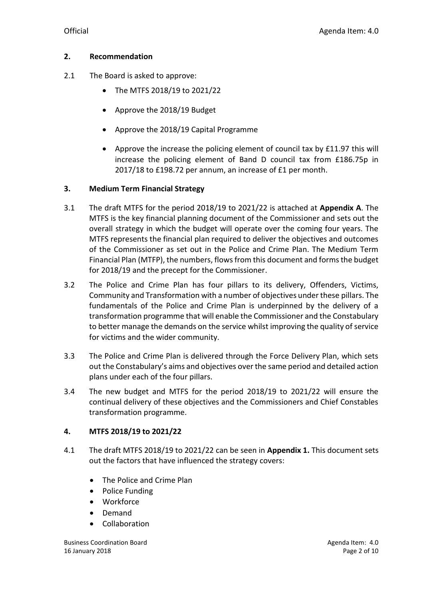### **2. Recommendation**

- 2.1 The Board is asked to approve:
	- The MTFS 2018/19 to 2021/22
	- Approve the 2018/19 Budget
	- Approve the 2018/19 Capital Programme
	- Approve the increase the policing element of council tax by £11.97 this will increase the policing element of Band D council tax from £186.75p in 2017/18 to £198.72 per annum, an increase of £1 per month.

### **3. Medium Term Financial Strategy**

- 3.1 The draft MTFS for the period 2018/19 to 2021/22 is attached at **Appendix A**. The MTFS is the key financial planning document of the Commissioner and sets out the overall strategy in which the budget will operate over the coming four years. The MTFS represents the financial plan required to deliver the objectives and outcomes of the Commissioner as set out in the Police and Crime Plan. The Medium Term Financial Plan (MTFP), the numbers, flows from this document and forms the budget for 2018/19 and the precept for the Commissioner.
- 3.2 The Police and Crime Plan has four pillars to its delivery, Offenders, Victims, Community and Transformation with a number of objectives under these pillars. The fundamentals of the Police and Crime Plan is underpinned by the delivery of a transformation programme that will enable the Commissioner and the Constabulary to better manage the demands on the service whilst improving the quality of service for victims and the wider community.
- 3.3 The Police and Crime Plan is delivered through the Force Delivery Plan, which sets out the Constabulary's aims and objectives over the same period and detailed action plans under each of the four pillars.
- 3.4 The new budget and MTFS for the period 2018/19 to 2021/22 will ensure the continual delivery of these objectives and the Commissioners and Chief Constables transformation programme.

## **4. MTFS 2018/19 to 2021/22**

- 4.1 The draft MTFS 2018/19 to 2021/22 can be seen in **Appendix 1.** This document sets out the factors that have influenced the strategy covers:
	- The Police and Crime Plan
	- Police Funding
	- Workforce
	- Demand
	- Collaboration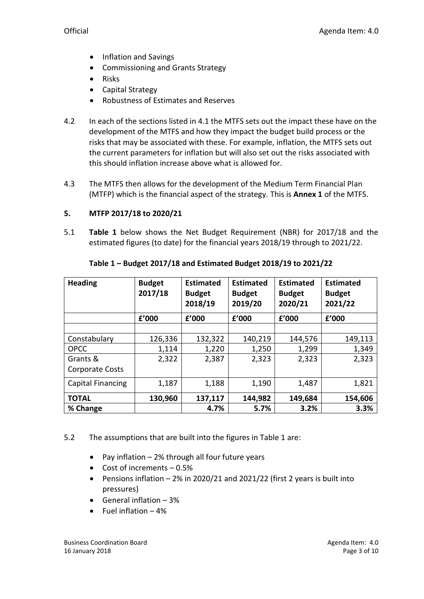- Inflation and Savings
- Commissioning and Grants Strategy
- Risks
- Capital Strategy
- Robustness of Estimates and Reserves
- 4.2 In each of the sections listed in 4.1 the MTFS sets out the impact these have on the development of the MTFS and how they impact the budget build process or the risks that may be associated with these. For example, inflation, the MTFS sets out the current parameters for inflation but will also set out the risks associated with this should inflation increase above what is allowed for.
- 4.3 The MTFS then allows for the development of the Medium Term Financial Plan (MTFP) which is the financial aspect of the strategy. This is **Annex 1** of the MTFS.

## **5. MTFP 2017/18 to 2020/21**

5.1 **Table 1** below shows the Net Budget Requirement (NBR) for 2017/18 and the estimated figures (to date) for the financial years 2018/19 through to 2021/22.

| <b>Heading</b>         | <b>Budget</b><br>2017/18 | <b>Estimated</b><br><b>Budget</b><br>2018/19 | <b>Estimated</b><br><b>Budget</b><br>2019/20 | <b>Estimated</b><br><b>Budget</b><br>2020/21 | <b>Estimated</b><br><b>Budget</b><br>2021/22 |
|------------------------|--------------------------|----------------------------------------------|----------------------------------------------|----------------------------------------------|----------------------------------------------|
|                        | £'000                    | f'000                                        | f'000                                        | £'000                                        | f'000                                        |
|                        |                          |                                              |                                              |                                              |                                              |
| Constabulary           | 126,336                  | 132,322                                      | 140,219                                      | 144,576                                      | 149,113                                      |
| <b>OPCC</b>            | 1,114                    | 1,220                                        | 1,250                                        | 1,299                                        | 1,349                                        |
| Grants &               | 2,322                    | 2,387                                        | 2,323                                        | 2,323                                        | 2,323                                        |
| <b>Corporate Costs</b> |                          |                                              |                                              |                                              |                                              |
| Capital Financing      | 1,187                    | 1,188                                        | 1,190                                        | 1,487                                        | 1,821                                        |
| <b>TOTAL</b>           | 130,960                  | 137,117                                      | 144,982                                      | 149,684                                      | 154,606                                      |
| % Change               |                          | 4.7%                                         | 5.7%                                         | 3.2%                                         | 3.3%                                         |

### **Table 1 – Budget 2017/18 and Estimated Budget 2018/19 to 2021/22**

- 5.2 The assumptions that are built into the figures in Table 1 are:
	- Pay inflation 2% through all four future years
	- $\bullet$  Cost of increments  $-0.5\%$
	- Pensions inflation 2% in 2020/21 and 2021/22 (first 2 years is built into pressures)
	- General inflation  $-3%$
	- $\bullet$  Fuel inflation  $-4\%$

Business Coordination Board **Agents** Agenda Item: 4.0 16 January 2018 **Page 3 of 10**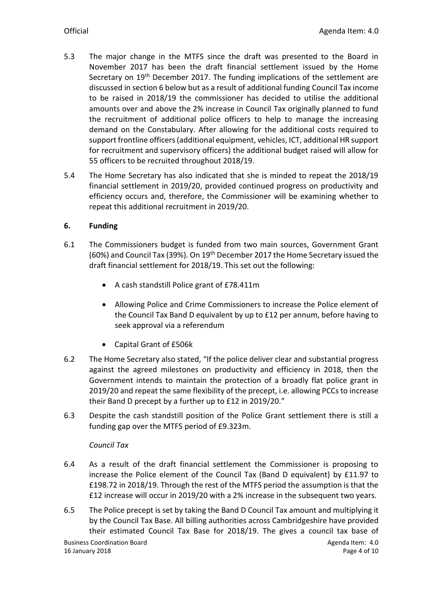- 5.3 The major change in the MTFS since the draft was presented to the Board in November 2017 has been the draft financial settlement issued by the Home Secretary on 19th December 2017. The funding implications of the settlement are discussed in section 6 below but as a result of additional funding Council Tax income to be raised in 2018/19 the commissioner has decided to utilise the additional amounts over and above the 2% increase in Council Tax originally planned to fund the recruitment of additional police officers to help to manage the increasing demand on the Constabulary. After allowing for the additional costs required to support frontline officers (additional equipment, vehicles, ICT, additional HR support for recruitment and supervisory officers) the additional budget raised will allow for 55 officers to be recruited throughout 2018/19.
- 5.4 The Home Secretary has also indicated that she is minded to repeat the 2018/19 financial settlement in 2019/20, provided continued progress on productivity and efficiency occurs and, therefore, the Commissioner will be examining whether to repeat this additional recruitment in 2019/20.

## **6. Funding**

- 6.1 The Commissioners budget is funded from two main sources, Government Grant (60%) and Council Tax (39%). On 19<sup>th</sup> December 2017 the Home Secretary issued the draft financial settlement for 2018/19. This set out the following:
	- A cash standstill Police grant of £78.411m
	- Allowing Police and Crime Commissioners to increase the Police element of the Council Tax Band D equivalent by up to £12 per annum, before having to seek approval via a referendum
	- Capital Grant of £506k
- 6.2 The Home Secretary also stated, "If the police deliver clear and substantial progress against the agreed milestones on productivity and efficiency in 2018, then the Government intends to maintain the protection of a broadly flat police grant in 2019/20 and repeat the same flexibility of the precept, i.e. allowing PCCs to increase their Band D precept by a further up to £12 in 2019/20."
- 6.3 Despite the cash standstill position of the Police Grant settlement there is still a funding gap over the MTFS period of £9.323m.

## *Council Tax*

- 6.4 As a result of the draft financial settlement the Commissioner is proposing to increase the Police element of the Council Tax (Band D equivalent) by £11.97 to £198.72 in 2018/19. Through the rest of the MTFS period the assumption is that the £12 increase will occur in 2019/20 with a 2% increase in the subsequent two years.
- 6.5 The Police precept is set by taking the Band D Council Tax amount and multiplying it by the Council Tax Base. All billing authorities across Cambridgeshire have provided their estimated Council Tax Base for 2018/19. The gives a council tax base of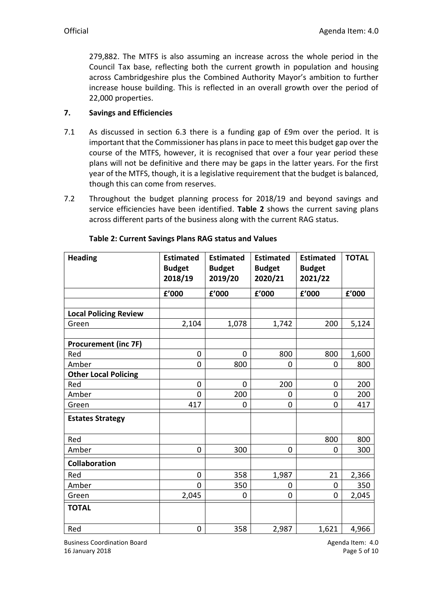279,882. The MTFS is also assuming an increase across the whole period in the Council Tax base, reflecting both the current growth in population and housing across Cambridgeshire plus the Combined Authority Mayor's ambition to further increase house building. This is reflected in an overall growth over the period of 22,000 properties.

## **7. Savings and Efficiencies**

- 7.1 As discussed in section 6.3 there is a funding gap of £9m over the period. It is important that the Commissioner has plans in pace to meet this budget gap over the course of the MTFS, however, it is recognised that over a four year period these plans will not be definitive and there may be gaps in the latter years. For the first year of the MTFS, though, it is a legislative requirement that the budget is balanced, though this can come from reserves.
- 7.2 Throughout the budget planning process for 2018/19 and beyond savings and service efficiencies have been identified. **Table 2** shows the current saving plans across different parts of the business along with the current RAG status.

| <b>Heading</b>               | <b>Estimated</b><br><b>Budget</b> | <b>Estimated</b><br><b>Budget</b> | <b>Estimated</b><br><b>Budget</b> | <b>Estimated</b><br><b>Budget</b> | <b>TOTAL</b>           |
|------------------------------|-----------------------------------|-----------------------------------|-----------------------------------|-----------------------------------|------------------------|
|                              | 2018/19                           | 2019/20                           | 2020/21                           | 2021/22                           |                        |
|                              | £'000                             | £'000                             | f'000                             | f'000                             | ${\bf f}^{\prime}$ 000 |
|                              |                                   |                                   |                                   |                                   |                        |
| <b>Local Policing Review</b> |                                   |                                   |                                   |                                   |                        |
| Green                        | 2,104                             | 1,078                             | 1,742                             | 200                               | 5,124                  |
|                              |                                   |                                   |                                   |                                   |                        |
| <b>Procurement (inc 7F)</b>  |                                   |                                   |                                   |                                   |                        |
| Red                          | 0                                 | 0                                 | 800                               | 800                               | 1,600                  |
| Amber                        | 0                                 | 800                               | 0                                 | $\mathbf 0$                       | 800                    |
| <b>Other Local Policing</b>  |                                   |                                   |                                   |                                   |                        |
| Red                          | 0                                 | 0                                 | 200                               | $\mathbf 0$                       | 200                    |
| Amber                        | 0                                 | 200                               | 0                                 | 0                                 | 200                    |
| Green                        | 417                               | 0                                 | 0                                 | 0                                 | 417                    |
| <b>Estates Strategy</b>      |                                   |                                   |                                   |                                   |                        |
| Red                          |                                   |                                   |                                   | 800                               | 800                    |
| Amber                        | 0                                 | 300                               | 0                                 | 0                                 | 300                    |
| <b>Collaboration</b>         |                                   |                                   |                                   |                                   |                        |
| Red                          | $\mathbf 0$                       | 358                               | 1,987                             | 21                                | 2,366                  |
| Amber                        | $\overline{0}$                    | 350                               | 0                                 | $\mathbf 0$                       | 350                    |
| Green                        | 2,045                             | 0                                 | $\overline{0}$                    | 0                                 | 2,045                  |
| <b>TOTAL</b>                 |                                   |                                   |                                   |                                   |                        |
| Red                          | 0                                 | 358                               | 2,987                             | 1,621                             | 4,966                  |

#### **Table 2: Current Savings Plans RAG status and Values**

Business Coordination Board **Agents** Agenda Item: 4.0 16 January 2018 **Page 5 of 10**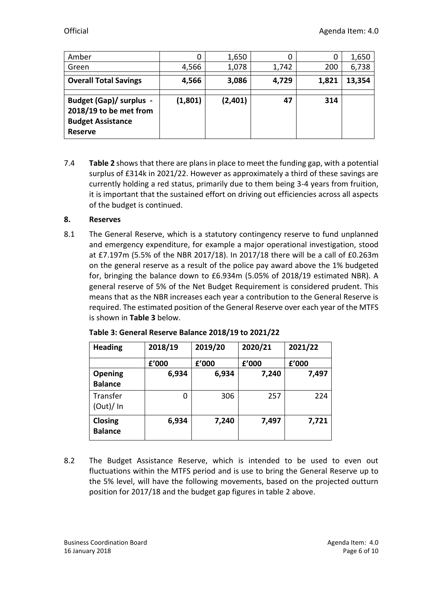| Amber                                                                                                  | 0       | 1,650   | 0     |       | 1,650  |
|--------------------------------------------------------------------------------------------------------|---------|---------|-------|-------|--------|
| Green                                                                                                  | 4,566   | 1,078   | 1,742 | 200   | 6,738  |
| <b>Overall Total Savings</b>                                                                           | 4,566   | 3,086   | 4,729 | 1,821 | 13,354 |
| <b>Budget (Gap)/ surplus -</b><br>2018/19 to be met from<br><b>Budget Assistance</b><br><b>Reserve</b> | (1,801) | (2,401) | 47    | 314   |        |

7.4 **Table 2** shows that there are plans in place to meet the funding gap, with a potential surplus of £314k in 2021/22. However as approximately a third of these savings are currently holding a red status, primarily due to them being 3-4 years from fruition, it is important that the sustained effort on driving out efficiencies across all aspects of the budget is continued.

## **8. Reserves**

8.1 The General Reserve, which is a statutory contingency reserve to fund unplanned and emergency expenditure, for example a major operational investigation, stood at £7.197m (5.5% of the NBR 2017/18). In 2017/18 there will be a call of £0.263m on the general reserve as a result of the police pay award above the 1% budgeted for, bringing the balance down to £6.934m (5.05% of 2018/19 estimated NBR). A general reserve of 5% of the Net Budget Requirement is considered prudent. This means that as the NBR increases each year a contribution to the General Reserve is required. The estimated position of the General Reserve over each year of the MTFS is shown in **Table 3** below.

| <b>Heading</b>            | 2018/19 | 2019/20 | 2020/21 | 2021/22 |
|---------------------------|---------|---------|---------|---------|
|                           | £'000   | f'000   | £'000   | £'000   |
| <b>Opening</b>            | 6,934   | 6,934   | 7,240   | 7,497   |
| <b>Balance</b>            |         |         |         |         |
| Transfer                  | 0       | 306     | 257     | 224     |
| (Out)/In                  |         |         |         |         |
| Closing<br><b>Balance</b> | 6,934   | 7,240   | 7,497   | 7,721   |

8.2 The Budget Assistance Reserve, which is intended to be used to even out fluctuations within the MTFS period and is use to bring the General Reserve up to the 5% level, will have the following movements, based on the projected outturn position for 2017/18 and the budget gap figures in table 2 above.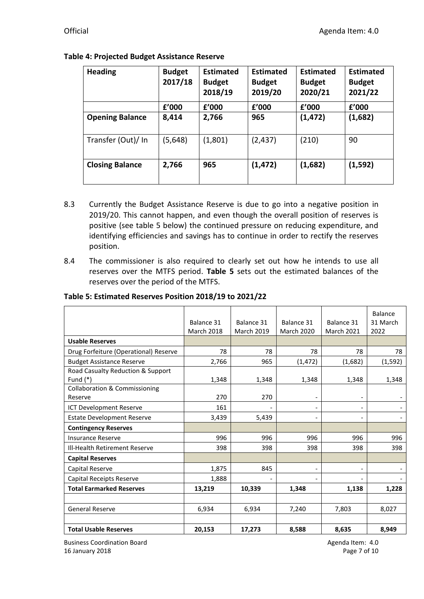| <b>Heading</b>         | <b>Budget</b><br>2017/18 | <b>Estimated</b><br><b>Budget</b><br>2018/19 | <b>Estimated</b><br><b>Budget</b><br>2019/20 | <b>Estimated</b><br><b>Budget</b><br>2020/21 | <b>Estimated</b><br><b>Budget</b><br>2021/22 |
|------------------------|--------------------------|----------------------------------------------|----------------------------------------------|----------------------------------------------|----------------------------------------------|
|                        | f'000                    | f'000                                        | £'000                                        | f'000                                        | £'000                                        |
| <b>Opening Balance</b> | 8,414                    | 2,766                                        | 965                                          | (1, 472)                                     | (1,682)                                      |
| Transfer (Out)/ In     | (5,648)                  | (1,801)                                      | (2, 437)                                     | (210)                                        | 90                                           |
| <b>Closing Balance</b> | 2,766                    | 965                                          | (1, 472)                                     | (1,682)                                      | (1,592)                                      |

## **Table 4: Projected Budget Assistance Reserve**

- 8.3 Currently the Budget Assistance Reserve is due to go into a negative position in 2019/20. This cannot happen, and even though the overall position of reserves is positive (see table 5 below) the continued pressure on reducing expenditure, and identifying efficiencies and savings has to continue in order to rectify the reserves position.
- 8.4 The commissioner is also required to clearly set out how he intends to use all reserves over the MTFS period. **Table 5** sets out the estimated balances of the reserves over the period of the MTFS.

**Table 5: Estimated Reserves Position 2018/19 to 2021/22**

|                                          | Balance 31<br><b>March 2018</b> | Balance 31<br><b>March 2019</b> | Balance 31<br><b>March 2020</b> | Balance 31<br><b>March 2021</b> | Balance<br>31 March<br>2022 |
|------------------------------------------|---------------------------------|---------------------------------|---------------------------------|---------------------------------|-----------------------------|
| <b>Usable Reserves</b>                   |                                 |                                 |                                 |                                 |                             |
| Drug Forfeiture (Operational) Reserve    | 78                              | 78                              | 78                              | 78                              | 78                          |
| <b>Budget Assistance Reserve</b>         | 2,766                           | 965                             | (1, 472)                        | (1,682)                         | (1, 592)                    |
| Road Casualty Reduction & Support        |                                 |                                 |                                 |                                 |                             |
| Fund $(*)$                               | 1,348                           | 1,348                           | 1,348                           | 1,348                           | 1,348                       |
| <b>Collaboration &amp; Commissioning</b> |                                 |                                 |                                 |                                 |                             |
| Reserve                                  | 270                             | 270                             |                                 |                                 |                             |
| ICT Development Reserve                  | 161                             |                                 |                                 |                                 |                             |
| <b>Estate Development Reserve</b>        | 3,439                           | 5,439                           |                                 |                                 |                             |
| <b>Contingency Reserves</b>              |                                 |                                 |                                 |                                 |                             |
| <b>Insurance Reserve</b>                 | 996                             | 996                             | 996                             | 996                             | 996                         |
| Ill-Health Retirement Reserve            | 398                             | 398                             | 398                             | 398                             | 398                         |
| <b>Capital Reserves</b>                  |                                 |                                 |                                 |                                 |                             |
| Capital Reserve                          | 1,875                           | 845                             | $\qquad \qquad -$               |                                 |                             |
| Capital Receipts Reserve                 | 1,888                           |                                 |                                 |                                 |                             |
| <b>Total Earmarked Reserves</b>          | 13,219                          | 10,339                          | 1,348                           | 1,138                           | 1,228                       |
|                                          |                                 |                                 |                                 |                                 |                             |
| <b>General Reserve</b>                   | 6,934                           | 6,934                           | 7,240                           | 7,803                           | 8,027                       |
|                                          |                                 |                                 |                                 |                                 |                             |
| <b>Total Usable Reserves</b>             | 20,153                          | 17,273                          | 8,588                           | 8,635                           | 8,949                       |

Business Coordination Board **Agents** Agenda Item: 4.0 16 January 2018 Page 7 of 10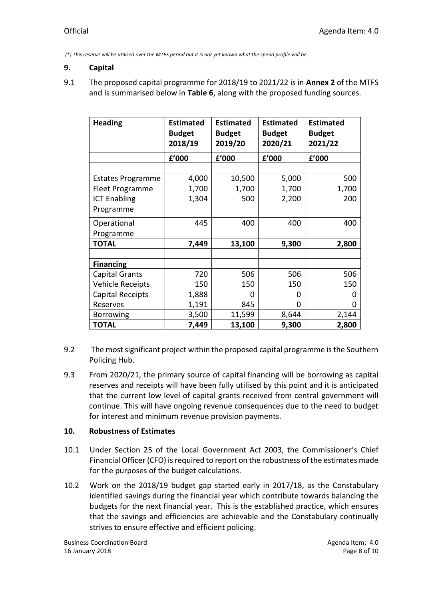*(\*) This reserve will be utilised over the MTFS period but it is not yet known what the spend profile will be.*

### **9. Capital**

9.1 The proposed capital programme for 2018/19 to 2021/22 is in **Annex 2** of the MTFS and is summarised below in **Table 6**, along with the proposed funding sources.

| <b>Heading</b>           | <b>Estimated</b><br><b>Budget</b><br>2018/19 | <b>Estimated</b><br><b>Budget</b><br>2019/20 | <b>Estimated</b><br><b>Budget</b><br>2020/21 | <b>Estimated</b><br><b>Budget</b><br>2021/22 |
|--------------------------|----------------------------------------------|----------------------------------------------|----------------------------------------------|----------------------------------------------|
|                          | f'000                                        | f'000                                        | £'000                                        | £'000                                        |
|                          |                                              |                                              |                                              |                                              |
| <b>Estates Programme</b> | 4,000                                        | 10,500                                       | 5,000                                        | 500                                          |
| Fleet Programme          | 1,700                                        | 1,700                                        | 1,700                                        | 1,700                                        |
| <b>ICT Enabling</b>      | 1,304                                        | 500                                          | 2,200                                        | 200                                          |
| Programme                |                                              |                                              |                                              |                                              |
| Operational              | 445                                          | 400                                          | 400                                          | 400                                          |
| Programme                |                                              |                                              |                                              |                                              |
| <b>TOTAL</b>             | 7,449                                        | 13,100                                       | 9,300                                        | 2,800                                        |
|                          |                                              |                                              |                                              |                                              |
| <b>Financing</b>         |                                              |                                              |                                              |                                              |
| Capital Grants           | 720                                          | 506                                          | 506                                          | 506                                          |
| Vehicle Receipts         | 150                                          | 150                                          | 150                                          | 150                                          |
| Capital Receipts         | 1,888                                        | ი                                            | 0                                            | 0                                            |
| Reserves                 | 1,191                                        | 845                                          | 0                                            | 0                                            |
| Borrowing                | 3,500                                        | 11,599                                       | 8,644                                        | 2,144                                        |
| <b>TOTAL</b>             | 7,449                                        | 13,100                                       | 9,300                                        | 2,800                                        |

- 9.2 The most significant project within the proposed capital programme is the Southern Policing Hub.
- 9.3 From 2020/21, the primary source of capital financing will be borrowing as capital reserves and receipts will have been fully utilised by this point and it is anticipated that the current low level of capital grants received from central government will continue. This will have ongoing revenue consequences due to the need to budget for interest and minimum revenue provision payments.

## **10. Robustness of Estimates**

- 10.1 Under Section 25 of the Local Government Act 2003, the Commissioner's Chief Financial Officer (CFO) is required to report on the robustness of the estimates made for the purposes of the budget calculations.
- 10.2 Work on the 2018/19 budget gap started early in 2017/18, as the Constabulary identified savings during the financial year which contribute towards balancing the budgets for the next financial year. This is the established practice, which ensures that the savings and efficiencies are achievable and the Constabulary continually strives to ensure effective and efficient policing.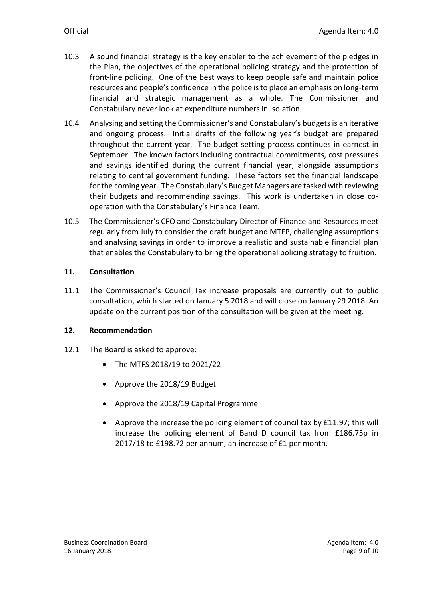- 10.3 A sound financial strategy is the key enabler to the achievement of the pledges in the Plan, the objectives of the operational policing strategy and the protection of front-line policing. One of the best ways to keep people safe and maintain police resources and people's confidence in the police is to place an emphasis on long-term financial and strategic management as a whole. The Commissioner and Constabulary never look at expenditure numbers in isolation.
- 10.4 Analysing and setting the Commissioner's and Constabulary's budgets is an iterative and ongoing process. Initial drafts of the following year's budget are prepared throughout the current year. The budget setting process continues in earnest in September. The known factors including contractual commitments, cost pressures and savings identified during the current financial year, alongside assumptions relating to central government funding. These factors set the financial landscape for the coming year. The Constabulary's Budget Managers are tasked with reviewing their budgets and recommending savings. This work is undertaken in close cooperation with the Constabulary's Finance Team.
- 10.5 The Commissioner's CFO and Constabulary Director of Finance and Resources meet regularly from July to consider the draft budget and MTFP, challenging assumptions and analysing savings in order to improve a realistic and sustainable financial plan that enables the Constabulary to bring the operational policing strategy to fruition.

## **11. Consultation**

11.1 The Commissioner's Council Tax increase proposals are currently out to public consultation, which started on January 5 2018 and will close on January 29 2018. An update on the current position of the consultation will be given at the meeting.

## **12. Recommendation**

- 12.1 The Board is asked to approve:
	- The MTFS 2018/19 to 2021/22
	- Approve the 2018/19 Budget
	- Approve the 2018/19 Capital Programme
	- Approve the increase the policing element of council tax by £11.97; this will increase the policing element of Band D council tax from £186.75p in 2017/18 to £198.72 per annum, an increase of £1 per month.